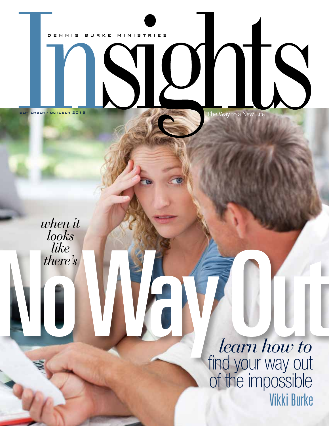

 $\overline{\phantom{a}}$ 

SEPTEMBER / OCTOBER 2015

TQ

*when it looks like there's* 

> *learn how to* find your way out of the impossible Vikki Burke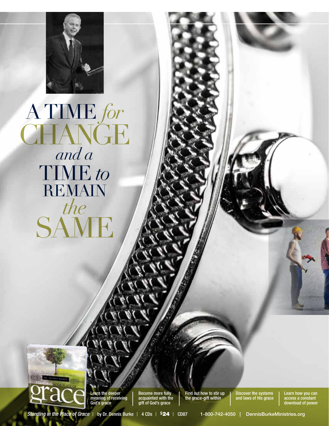

# A Time *for* CHANGE *and a* Time *to* REMAIN *the* SAME



Learn the deeper meaning of receiving God's grace

Become more fully acquainted with the gift of God's grace

Find out how to stir up the grace-gift within

Discover the systems and laws of His grace Learn how you can access a constant download of power

*Standing in the Place of Grace |* by Dr. Dennis Burke *|* 4 CDs *|* \$24 *|* CD87 1-800-742-4050 | DennisBurkeMinistries.org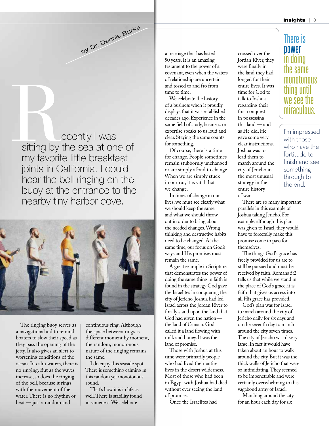ecently I was sitting by the sea at one of my favorite little breakfast joints in California. I could hear the bell ringing on the buoy at the entrance to the nearby tiny harbor cove. Sitting by

by Dr. Dennis Burke



The ringing buoy serves as a navigational aid to remind boaters to slow their speed as they pass the opening of the jetty. It also gives an alert to worsening conditions of the ocean. In calm waters, there is no ringing. But as the waves increase, so does the ringing of the bell, because it rings with the movement of the water. There is no rhythm or beat — just a random and

continuous ring. Although the space between rings is different moment by moment, the random, monotonous nature of the ringing remains the same.

I do enjoy this seaside spot. There is something calming in this random yet monotonous sound.

That's how it is in life as well. There is stability found in sameness. We celebrate

a marriage that has lasted 50 years. It is an amazing testament to the power of a covenant, even when the waters of relationship are uncertain and tossed to and fro from time to time.

We celebrate the history of a business when it proudly displays that it was established decades ago. Experience in the same field of study, business, or expertise speaks to us loud and clear. Staying the same counts for something.

Of course, there is a time for change. People sometimes remain stubbornly unchanged or are simply afraid to change. When we are simply stuck in our rut, it is vital that we change.

In times of change in our lives, we must see clearly what we should keep the same and what we should throw out in order to bring about the needed changes. Wrong thinking and destructive habits need to be changed. At the same time, our focus on God's ways and His promises must remain the same.

A great example in Scripture that demonstrates the power of doing the same thing in faith is found in the strategy God gave the Israelites in conquering the city of Jericho. Joshua had led Israel across the Jordan River to finally stand upon the land that God had given the nation the land of Canaan. God called it a land flowing with milk and honey. It was the land of promise.

Those with Joshua at this time were primarily people who had lived their entire lives in the desert wilderness. Most of those who had been in Egypt with Joshua had died without ever seeing the land of promise.

Once the Israelites had

crossed over the Jordan River, they were finally in the land they had longed for their entire lives. It was time for God to talk to Joshua regarding their first conquest in possessing this land — and as He did, He gave some very clear instructions. Joshua was to lead them to march around the city of Jericho in the most unusual strategy in the entire history

of war.

## There is power in doing the same monotonous thing until we see the miraculous.

I'm impressed with those who have the fortitude to finish and see something through to the end.

There are so many important parallels in this example of Joshua taking Jericho. For example, although this plan was given to Israel, they would have to forcefully make this promise come to pass for themselves.

The things God's grace has freely provided for us are to still be pursued and must be received by faith. Romans 5:2 tells us that while we stand in the place of God's grace, it is faith that gives us access into all His grace has provided.

God's plan was for Israel to march around the city of Jericho daily for six days and on the seventh day to march around the city seven times. The city of Jericho wasn't very large. In fact it would have taken about an hour to walk around the city. But it was the thick walls of Jericho that were so intimidating. They seemed to be impenetrable and were certainly overwhelming to this vagabond army of Israel.

Marching around the city for an hour each day for six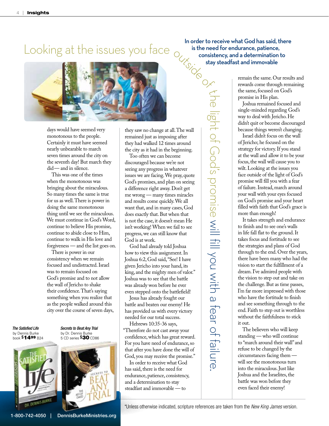

days would have seemed very monotonous to the people. Certainly it must have seemed nearly unbearable to march seven times around the city on the seventh day! But march they did— and in silence.

This was one of the times when the monotonous was bringing about the miraculous. So many times the same is true for us as well. There is power in doing the same monotonous thing until we see the miraculous. We must continue in God's Word, continue to believe His promise, continue to abide close to Him, continue to walk in His love and forgiveness — and the list goes on.

There is power in our consistency when we remain focused and undistracted. Israel was to remain focused on God's promise and to not allow the wall of Jericho to shake their confidence. That's saying something when you realize that as the people walked around this city over the course of seven days,

*The Satisfied Life* by Dennis Burke<br><sub>book</sub> \$1499 <sub>B24</sub>



*Secrets to Beat Any Trial* by Dr. Dennis Burke<br>5 CD series **\$30** CD86



God is at work.

even stepped onto the battlefield! Jesus has already fought our battle and beaten our enemy! He has provided us with every victory needed for our total success.

God had already told Joshua how to view this assignment. In

they saw no change at all. The wall remained just as imposing after they had walked 12 times around the city as it had in the beginning. Too often we can become discouraged because we're not seeing any progress in whatever issues we are facing. We pray, quote God's promises, and plan on seeing a difference right away. Don't get me wrong — many times miracles and results come quickly. We all want that, and in many cases, God does exactly that. But when that is not the case, it doesn't mean He isn't working! When we fail to see progress, we can still know that

Hebrews 10:35-36 says, "Therefore do not cast away your confidence, which has great reward. For you have need of endurance, so that after you have done the will of God, you may receive the promise."

In order to receive what God has said, there is the need for endurance, patience, consistency, and a determination to stay steadfast and immovable — to

In order to receive what God has said, there is the need for endurance, patience, consistency, and a determination to stay steadfast and immovable

> $\tau$  $\overline{\phantom{0}}$  $\overline{\mathbb{O}}$

lig  $\frac{1}{\sqrt{1}}$ 

 $\frac{1}{2}$ 

 $\bigcap$ o d's

 $\overline{O}$  $\overline{\bigcirc}$ 

 $\Xi$ :

 $\overline{\mathbb{O}}$ 

 $\leq$  .

 $\equiv$ 

 $\prec$  $\overline{\mathcal{O}}$  $\overline{\subseteq}$ 

> $\overline{\widetilde{z}}$  $\overline{\mathcal{L}}$  $\overline{\omega}$  $\overline{\sigma}$  $\overline{\omega}$  $\overline{\phantom{a}}$  $\frac{1}{2}$

> nie:<br>E

 $\overline{\phantom{0}}$ ฺ⁄D remain the same. Our results and rewards come through remaining the same, focused on God's promise in His plan.

Joshua remained focused and single-minded regarding God's way to deal with Jericho. He didn't quit or become discouraged because things weren't changing.

Israel didn't focus on the wall of Jericho; he focused on the strategy for victory. If you stand at the wall and allow it to be your focus, the wall will cause you to wilt. Looking at the issues you face outside of the light of God's promise will fill you with a fear of failure. Instead, march around your wall with your eyes focused on God's promise and your heart filled with faith that God's grace is more than enough!

It takes strength and endurance to finish and to see one's walls in life fall flat to the ground. It takes focus and fortitude to see the strategies and plans of God through to the end. Over the years, there have been many who had the vision to start the fulfillment of a dream. I've admired people with the vision to step out and take on the challenge. But as time passes, I'm far more impressed with those who have the fortitude to finish and see something through to the end. Faith to step out is worthless without the faithfulness to stick it out.

The believers who will keep standing — who will continue to "march around their wall" and refuse to be changed by the circumstances facing them will see the monotonous turn into the miraculous. Just like Joshua and the Israelites, the battle was won before they even faced their enemy!

\*Unless otherwise indicated, scripture references are taken from the *New King James* version.

1-800-742-4050 | DennisBurkeMinistries.org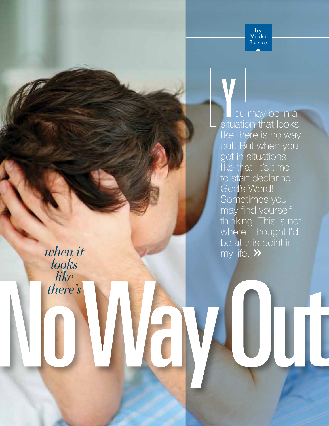

**Y**<br>
ou may be in a<br>
situation that looks like there is no way out. But when you get in situations like that, it's time to start declaring God's Word! Sometimes you may find yourself thinking, This is not where I thought I'd be at this point in my life.  $\rightarrow$ 

*when it looks like there's*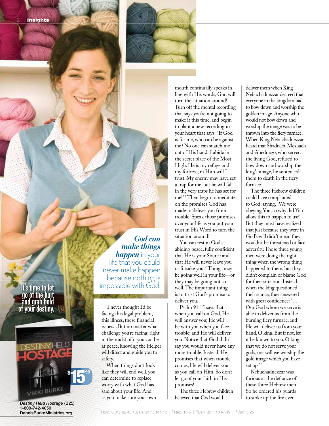

It's time to let go of the hurt and grab hold of your destiny.



*Destiny Held Hostage* (B25) 1-800-742-4050 DennisBurkeMinistries.org

*God can make things happen* in your life that you could never make happen because nothing is impossible with God.

I never thought I'd be facing this legal problem, this illness, these financial issues... But no matter what challenge you're facing, right in the midst of it you can be at peace, knowing the Helper will direct and guide you to safety.

When things don't look like they will end well, you can determine to replace worry with what God has said about your life. And as you make sure your own

mouth continually speaks in line with His words, God will turn the situation around! Turn off the mental recording that says you're not going to make it this time, and begin to plant a new recording in your heart that says: "If God is for me, who can be against me? No one can snatch me out of His hand! I abide in the secret place of the Most High. He is my refuge and my fortress; in Him will I trust. My enemy may have set a trap for me, but he will fall in the very traps he has set for me!"1 Then begin to meditate on the promises God has made to deliver you from trouble. Speak those promises over your life as you put your trust in His Word to turn the situation around!

You can rest in God's abiding peace, fully confident that He is your Source and that He will never leave you or forsake you.2 Things may be going well in your life—or they may be going not so well. The important thing is to trust God's promise to deliver you.

Psalm 91:15 says that when you call on God, He will answer you; He will be with you when you face trouble; and He will deliver you. Notice that God didn't say you would never have any more trouble. Instead, He promises that when trouble comes, He will deliver you as you call on Him. So don't let go of your faith in His promises!

The three Hebrew children believed that God would

deliver them when King Nebuchadnezzar decreed that everyone in the kingdom had to bow down and worship the golden image. Anyone who would not bow down and worship the image was to be thrown into the fiery furnace. When King Nebuchadnezzar heard that Shadrach, Meshach and Abednego, who served the living God, refused to bow down and worship the king's image, he sentenced them to death in the fiery furnace.

The three Hebrew children could have complained to God, saying, "We were obeying You, so why did You allow this to happen to us?" But they must have realized that just because they were in God's will didn't mean they wouldn't be threatened or face adversity. Those three young men were doing the right thing when the wrong thing happened to them, but they didn't complain or blame God for their situation. Instead, when the king questioned their stance, they answered with great confidence: "… Our God whom we serve is able to deliver us from the burning fiery furnace, and He will deliver us from your hand, O king. But if not, let it be known to you, O king, that we do not serve your gods, nor will we worship the gold image which you have set up."3

Nebuchadnezzar was furious at the defiance of these three Hebrew men. So he ordered his guards to stoke up the fire even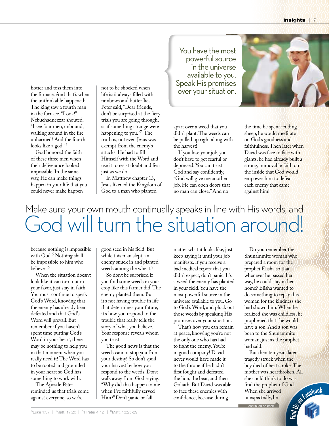hotter and toss them into the furnace. And that's when the unthinkable happened: The king saw a fourth man in the furnace. "Look!" Nebuchadnezzar shouted. "I see four men, unbound, walking around in the fire unharmed! And the fourth looks like a god!"4

God honored the faith of these three men when their deliverance looked impossible. In the same way, He can make things happen in your life that you could never make happen

not to be shocked when life isn't always filled with rainbows and butterflies. Peter said, "Dear friends, don't be surprised at the fiery trials you are going through, as if something strange were happening to you."<sup>7</sup> The truth is, not even Jesus was exempt from the enemy's attacks. He had to fill Himself with the Word and use it to resist doubt and fear just as we do.

In Matthew chapter 13, Jesus likened the Kingdom of God to a man who planted

You have the most powerful source in the universe available to you. Speak His promises over your situation.



apart over a weed that you didn't plant. The weeds can be pulled up right along with the harvest!

If you lose your job, you don't have to get fearful or depressed. You can trust God and say confidently, "God will give me another job. He can open doors that no man can close." And no

the time he spent tending sheep, he would meditate on God's goodness and faithfulness. Then later when David was face to face with giants, he had already built a strong, immovable faith on the inside that God would empower him to defeat each enemy that came against him!

## Make sure your own mouth continually speaks in line with His words, and God will turn the situation around!

because nothing is impossible with  $God<sup>5</sup> Nothing shall$ be impossible to him who believes!6

When the situation doesn't look like it can turn out in your favor, just stay in faith. You must continue to speak God's Word, knowing that the enemy has already been defeated and that God's Word will prevail. But remember, if you haven't spent time putting God's Word in your heart, there may be nothing to help you in that moment when you really need it! The Word has to be rooted and grounded in your heart so God has something to work with.

The Apostle Peter reminded us that trials come against everyone, so we're

good seed in his field. But while this man slept, an enemy snuck in and planted weeds among the wheat.<sup>8</sup>

So don't be surprised if you find some weeds in your crop like this farmer did. The enemy planted them. But it's not having trouble in life that determines your future; it's how you respond to the trouble that really tells the story of what you believe. Your response reveals whom you trust.

The good news is that the weeds cannot stop you from your destiny! So don't spoil your harvest by how you respond to the weeds. Don't walk away from God saying, "Why did this happen to me when I've faithfully served Him?" Don't panic or fall

matter what it looks like, just keep saying it until your job manifests. If you receive a bad medical report that you didn't expect, don't panic. It's a weed the enemy has planted in your field. You have the most powerful source in the universe available to you. Go to God's Word, and pluck out those weeds by speaking His promises over your situation.

That's how you can remain at peace, knowing you're not the only one who has had to fight the enemy. You're in good company! David never would have made it to the throne if he hadn't first fought and defeated the lion, the bear, and then Goliath. But David was able to face these enemies with confidence, because during

Do you remember the Shunammite woman who prepared a room for the prophet Elisha so that whenever he passed her way, he could stay in her home? Elisha wanted to do something to repay this woman for the kindness she had shown him. When he realized she was childless, he prophesied that she would have a son. And a son was born to the Shunammite woman, just as the prophet had said.

But then ten years later, tragedy struck when the boy died of heat stroke. The mother was heartbroken. All she could think to do was find the prophet of God. When she arrived unexpectedly, he **User Facebook** continued on back

Find